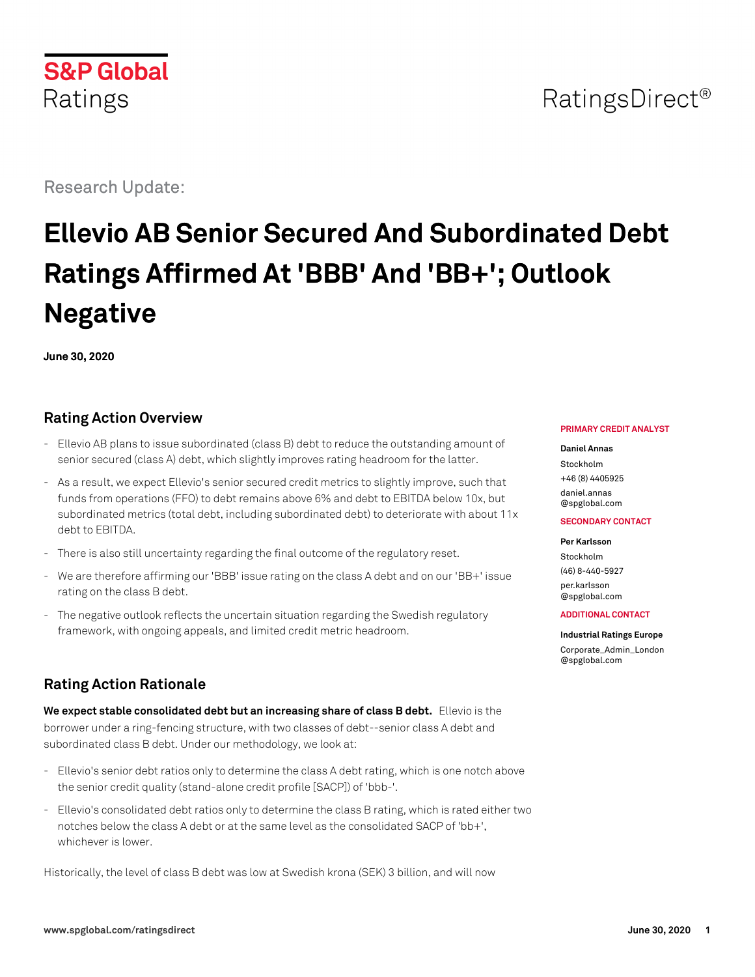# RatingsDirect<sup>®</sup>

Research Update:

**S&P Global** 

Ratings

# **Ellevio AB Senior Secured And Subordinated Debt Ratings Affirmed At 'BBB' And 'BB+'; Outlook Negative**

**June 30, 2020**

# **Rating Action Overview**

- Ellevio AB plans to issue subordinated (class B) debt to reduce the outstanding amount of senior secured (class A) debt, which slightly improves rating headroom for the latter.
- As a result, we expect Ellevio's senior secured credit metrics to slightly improve, such that funds from operations (FFO) to debt remains above 6% and debt to EBITDA below 10x, but subordinated metrics (total debt, including subordinated debt) to deteriorate with about 11x debt to EBITDA.
- There is also still uncertainty regarding the final outcome of the regulatory reset.
- We are therefore affirming our 'BBB' issue rating on the class A debt and on our 'BB+' issue rating on the class B debt.
- The negative outlook reflects the uncertain situation regarding the Swedish regulatory framework, with ongoing appeals, and limited credit metric headroom.

# **Rating Action Rationale**

**We expect stable consolidated debt but an increasing share of class B debt.** Ellevio is the borrower under a ring-fencing structure, with two classes of debt--senior class A debt and subordinated class B debt. Under our methodology, we look at:

- Ellevio's senior debt ratios only to determine the class A debt rating, which is one notch above the senior credit quality (stand-alone credit profile [SACP]) of 'bbb-'.
- Ellevio's consolidated debt ratios only to determine the class B rating, which is rated either two notches below the class A debt or at the same level as the consolidated SACP of 'bb+', whichever is lower.

Historically, the level of class B debt was low at Swedish krona (SEK) 3 billion, and will now

#### **PRIMARY CREDIT ANALYST**

### **Daniel Annas**

Stockholm +46 (8) 4405925 [daniel.annas](mailto:daniel.annas@spglobal.com) [@spglobal.com](mailto:daniel.annas@spglobal.com)

#### **SECONDARY CONTACT**

#### **Per Karlsson**

Stockholm (46) 8-440-5927 [per.karlsson](mailto:per.karlsson@spglobal.com) [@spglobal.com](mailto:per.karlsson@spglobal.com)

#### **ADDITIONAL CONTACT**

#### **Industrial Ratings Europe**

[Corporate\\_Admin\\_London](mailto:Corporate_Admin_London@spglobal.com) [@spglobal.com](mailto:Corporate_Admin_London@spglobal.com)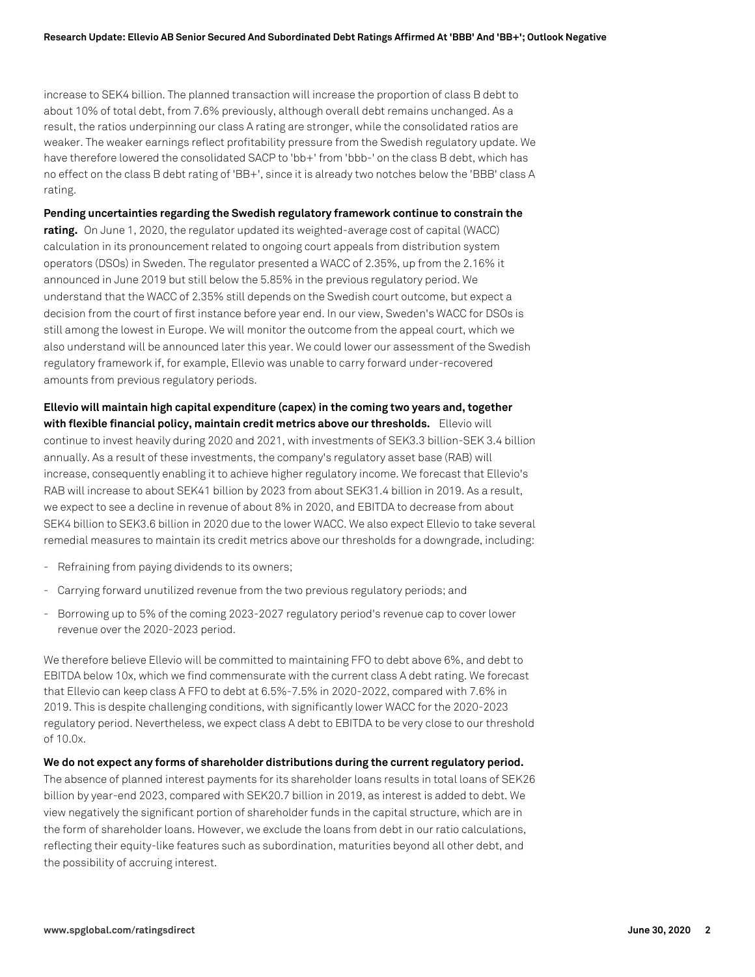increase to SEK4 billion. The planned transaction will increase the proportion of class B debt to about 10% of total debt, from 7.6% previously, although overall debt remains unchanged. As a result, the ratios underpinning our class A rating are stronger, while the consolidated ratios are weaker. The weaker earnings reflect profitability pressure from the Swedish regulatory update. We have therefore lowered the consolidated SACP to 'bb+' from 'bbb-' on the class B debt, which has no effect on the class B debt rating of 'BB+', since it is already two notches below the 'BBB' class A rating.

#### **Pending uncertainties regarding the Swedish regulatory framework continue to constrain the**

rating. On June 1, 2020, the regulator updated its weighted-average cost of capital (WACC) calculation in its pronouncement related to ongoing court appeals from distribution system operators (DSOs) in Sweden. The regulator presented a WACC of 2.35%, up from the 2.16% it announced in June 2019 but still below the 5.85% in the previous regulatory period. We understand that the WACC of 2.35% still depends on the Swedish court outcome, but expect a decision from the court of first instance before year end. In our view, Sweden's WACC for DSOs is still among the lowest in Europe. We will monitor the outcome from the appeal court, which we also understand will be announced later this year. We could lower our assessment of the Swedish regulatory framework if, for example, Ellevio was unable to carry forward under-recovered amounts from previous regulatory periods.

**Ellevio will maintain high capital expenditure (capex) in the coming two years and, together with flexible financial policy, maintain credit metrics above our thresholds.** Ellevio will continue to invest heavily during 2020 and 2021, with investments of SEK3.3 billion-SEK 3.4 billion annually. As a result of these investments, the company's regulatory asset base (RAB) will increase, consequently enabling it to achieve higher regulatory income. We forecast that Ellevio's RAB will increase to about SEK41 billion by 2023 from about SEK31.4 billion in 2019. As a result, we expect to see a decline in revenue of about 8% in 2020, and EBITDA to decrease from about SEK4 billion to SEK3.6 billion in 2020 due to the lower WACC. We also expect Ellevio to take several remedial measures to maintain its credit metrics above our thresholds for a downgrade, including:

- Refraining from paying dividends to its owners;
- Carrying forward unutilized revenue from the two previous regulatory periods; and
- Borrowing up to 5% of the coming 2023-2027 regulatory period's revenue cap to cover lower revenue over the 2020-2023 period.

We therefore believe Ellevio will be committed to maintaining FFO to debt above 6%, and debt to EBITDA below 10x, which we find commensurate with the current class A debt rating. We forecast that Ellevio can keep class A FFO to debt at 6.5%-7.5% in 2020-2022, compared with 7.6% in 2019. This is despite challenging conditions, with significantly lower WACC for the 2020-2023 regulatory period. Nevertheless, we expect class A debt to EBITDA to be very close to our threshold of 10.0x.

#### **We do not expect any forms of shareholder distributions during the current regulatory period.**

The absence of planned interest payments for its shareholder loans results in total loans of SEK26 billion by year-end 2023, compared with SEK20.7 billion in 2019, as interest is added to debt. We view negatively the significant portion of shareholder funds in the capital structure, which are in the form of shareholder loans. However, we exclude the loans from debt in our ratio calculations, reflecting their equity-like features such as subordination, maturities beyond all other debt, and the possibility of accruing interest.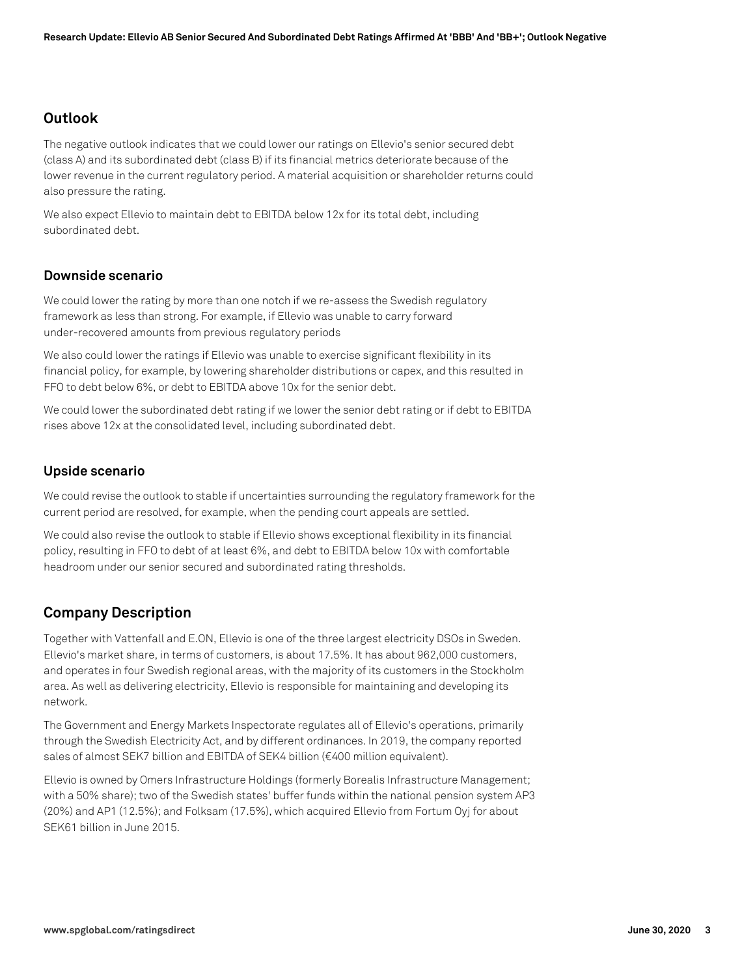## **Outlook**

The negative outlook indicates that we could lower our ratings on Ellevio's senior secured debt (class A) and its subordinated debt (class B) if its financial metrics deteriorate because of the lower revenue in the current regulatory period. A material acquisition or shareholder returns could also pressure the rating.

We also expect Ellevio to maintain debt to EBITDA below 12x for its total debt, including subordinated debt.

## **Downside scenario**

We could lower the rating by more than one notch if we re-assess the Swedish regulatory framework as less than strong. For example, if Ellevio was unable to carry forward under-recovered amounts from previous regulatory periods

We also could lower the ratings if Ellevio was unable to exercise significant flexibility in its financial policy, for example, by lowering shareholder distributions or capex, and this resulted in FFO to debt below 6%, or debt to EBITDA above 10x for the senior debt.

We could lower the subordinated debt rating if we lower the senior debt rating or if debt to EBITDA rises above 12x at the consolidated level, including subordinated debt.

## **Upside scenario**

We could revise the outlook to stable if uncertainties surrounding the regulatory framework for the current period are resolved, for example, when the pending court appeals are settled.

We could also revise the outlook to stable if Ellevio shows exceptional flexibility in its financial policy, resulting in FFO to debt of at least 6%, and debt to EBITDA below 10x with comfortable headroom under our senior secured and subordinated rating thresholds.

# **Company Description**

Together with Vattenfall and E.ON, Ellevio is one of the three largest electricity DSOs in Sweden. Ellevio's market share, in terms of customers, is about 17.5%. It has about 962,000 customers, and operates in four Swedish regional areas, with the majority of its customers in the Stockholm area. As well as delivering electricity, Ellevio is responsible for maintaining and developing its network.

The Government and Energy Markets Inspectorate regulates all of Ellevio's operations, primarily through the Swedish Electricity Act, and by different ordinances. In 2019, the company reported sales of almost SEK7 billion and EBITDA of SEK4 billion (€400 million equivalent).

Ellevio is owned by Omers Infrastructure Holdings (formerly Borealis Infrastructure Management; with a 50% share); two of the Swedish states' buffer funds within the national pension system AP3 (20%) and AP1 (12.5%); and Folksam (17.5%), which acquired Ellevio from Fortum Oyj for about SEK61 billion in June 2015.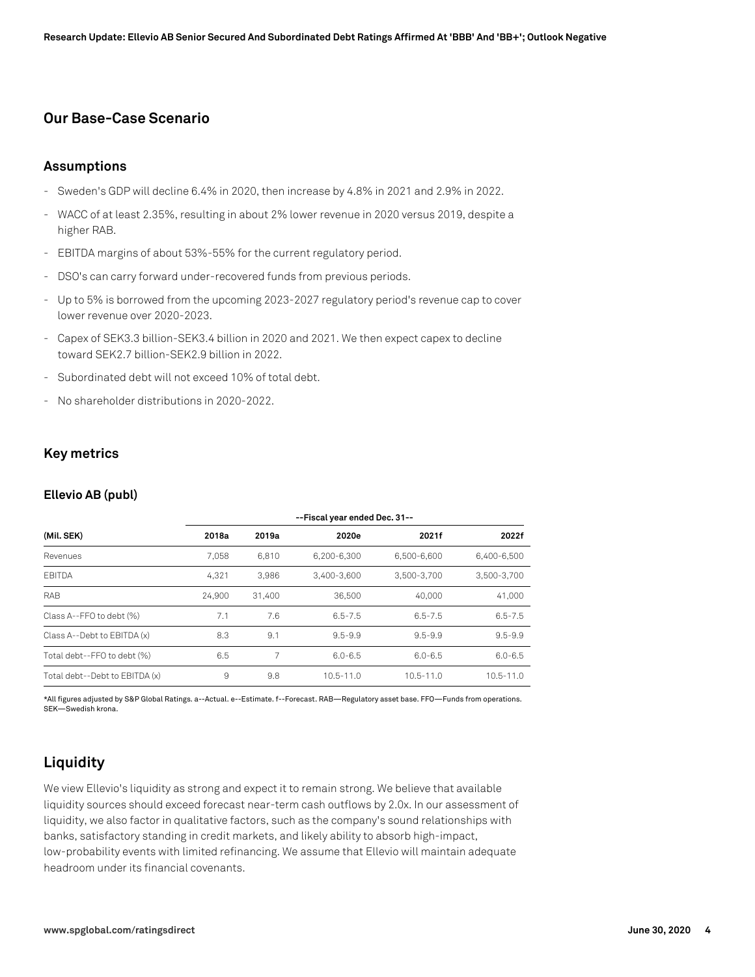## **Our Base-Case Scenario**

### **Assumptions**

- Sweden's GDP will decline 6.4% in 2020, then increase by 4.8% in 2021 and 2.9% in 2022.
- WACC of at least 2.35%, resulting in about 2% lower revenue in 2020 versus 2019, despite a higher RAB.
- EBITDA margins of about 53%-55% for the current regulatory period.
- DSO's can carry forward under-recovered funds from previous periods.
- Up to 5% is borrowed from the upcoming 2023-2027 regulatory period's revenue cap to cover lower revenue over 2020-2023.
- Capex of SEK3.3 billion-SEK3.4 billion in 2020 and 2021. We then expect capex to decline toward SEK2.7 billion-SEK2.9 billion in 2022.
- Subordinated debt will not exceed 10% of total debt.
- No shareholder distributions in 2020-2022.

### **Key metrics**

#### **Ellevio AB (publ)**

| (Mil. SEK)                     | --Fiscal year ended Dec. 31-- |        |               |               |               |
|--------------------------------|-------------------------------|--------|---------------|---------------|---------------|
|                                | 2018a                         | 2019a  | 2020e         | 2021f         | 2022f         |
| Revenues                       | 7.058                         | 6.810  | 6.200-6.300   | 6.500-6.600   | 6.400-6.500   |
| <b>EBITDA</b>                  | 4.321                         | 3.986  | 3.400-3.600   | 3.500-3.700   | 3.500-3.700   |
| RAB                            | 24,900                        | 31.400 | 36,500        | 40,000        | 41,000        |
| Class A--FFO to debt (%)       | 7.1                           | 7.6    | $6.5 - 7.5$   | $6.5 - 7.5$   | $6.5 - 7.5$   |
| Class A--Debt to EBITDA (x)    | 8.3                           | 9.1    | $9.5 - 9.9$   | $9.5 - 9.9$   | $9.5 - 9.9$   |
| Total debt--FFO to debt (%)    | 6.5                           | 7      | $6.0 - 6.5$   | $6.0 - 6.5$   | $6.0 - 6.5$   |
| Total debt--Debt to EBITDA (x) | 9                             | 9.8    | $10.5 - 11.0$ | $10.5 - 11.0$ | $10.5 - 11.0$ |

\*All figures adjusted by S&P Global Ratings. a--Actual. e--Estimate. f--Forecast. RAB—Regulatory asset base. FFO—Funds from operations. SEK—Swedish krona.

# **Liquidity**

We view Ellevio's liquidity as strong and expect it to remain strong. We believe that available liquidity sources should exceed forecast near-term cash outflows by 2.0x. In our assessment of liquidity, we also factor in qualitative factors, such as the company's sound relationships with banks, satisfactory standing in credit markets, and likely ability to absorb high-impact, low-probability events with limited refinancing. We assume that Ellevio will maintain adequate headroom under its financial covenants.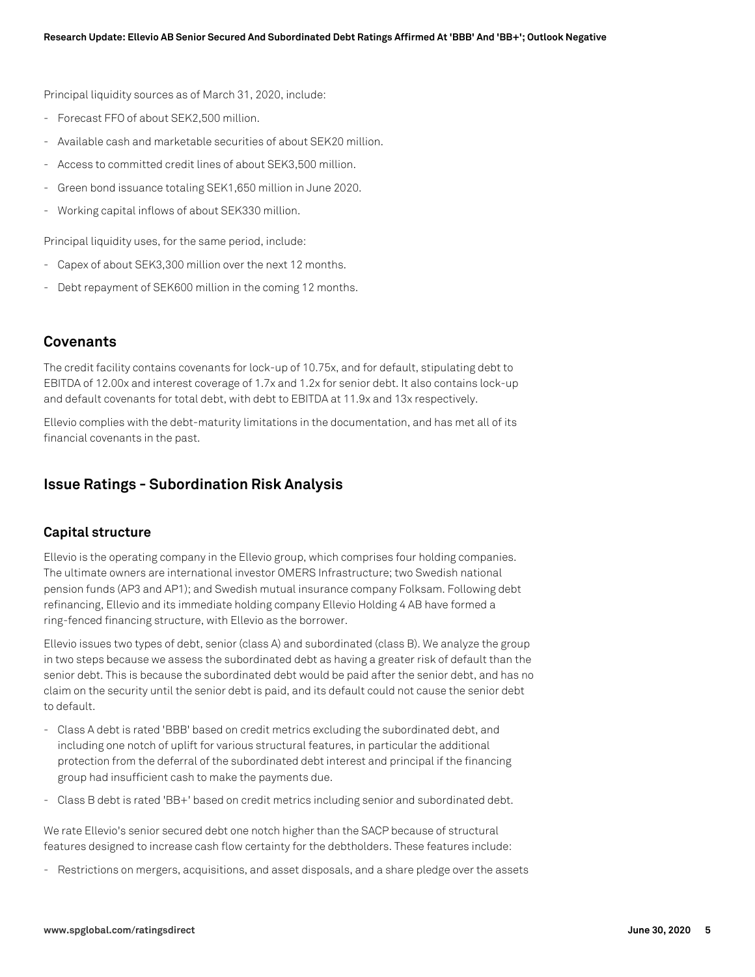Principal liquidity sources as of March 31, 2020, include:

- Forecast FFO of about SEK2,500 million.
- Available cash and marketable securities of about SEK20 million.
- Access to committed credit lines of about SEK3,500 million.
- Green bond issuance totaling SEK1,650 million in June 2020.
- Working capital inflows of about SEK330 million.

Principal liquidity uses, for the same period, include:

- Capex of about SEK3,300 million over the next 12 months.
- Debt repayment of SEK600 million in the coming 12 months.

## **Covenants**

The credit facility contains covenants for lock-up of 10.75x, and for default, stipulating debt to EBITDA of 12.00x and interest coverage of 1.7x and 1.2x for senior debt. It also contains lock-up and default covenants for total debt, with debt to EBITDA at 11.9x and 13x respectively.

Ellevio complies with the debt-maturity limitations in the documentation, and has met all of its financial covenants in the past.

## **Issue Ratings - Subordination Risk Analysis**

## **Capital structure**

Ellevio is the operating company in the Ellevio group, which comprises four holding companies. The ultimate owners are international investor OMERS Infrastructure; two Swedish national pension funds (AP3 and AP1); and Swedish mutual insurance company Folksam. Following debt refinancing, Ellevio and its immediate holding company Ellevio Holding 4 AB have formed a ring-fenced financing structure, with Ellevio as the borrower.

Ellevio issues two types of debt, senior (class A) and subordinated (class B). We analyze the group in two steps because we assess the subordinated debt as having a greater risk of default than the senior debt. This is because the subordinated debt would be paid after the senior debt, and has no claim on the security until the senior debt is paid, and its default could not cause the senior debt to default.

- Class A debt is rated 'BBB' based on credit metrics excluding the subordinated debt, and including one notch of uplift for various structural features, in particular the additional protection from the deferral of the subordinated debt interest and principal if the financing group had insufficient cash to make the payments due.
- Class B debt is rated 'BB+' based on credit metrics including senior and subordinated debt.

We rate Ellevio's senior secured debt one notch higher than the SACP because of structural features designed to increase cash flow certainty for the debtholders. These features include:

- Restrictions on mergers, acquisitions, and asset disposals, and a share pledge over the assets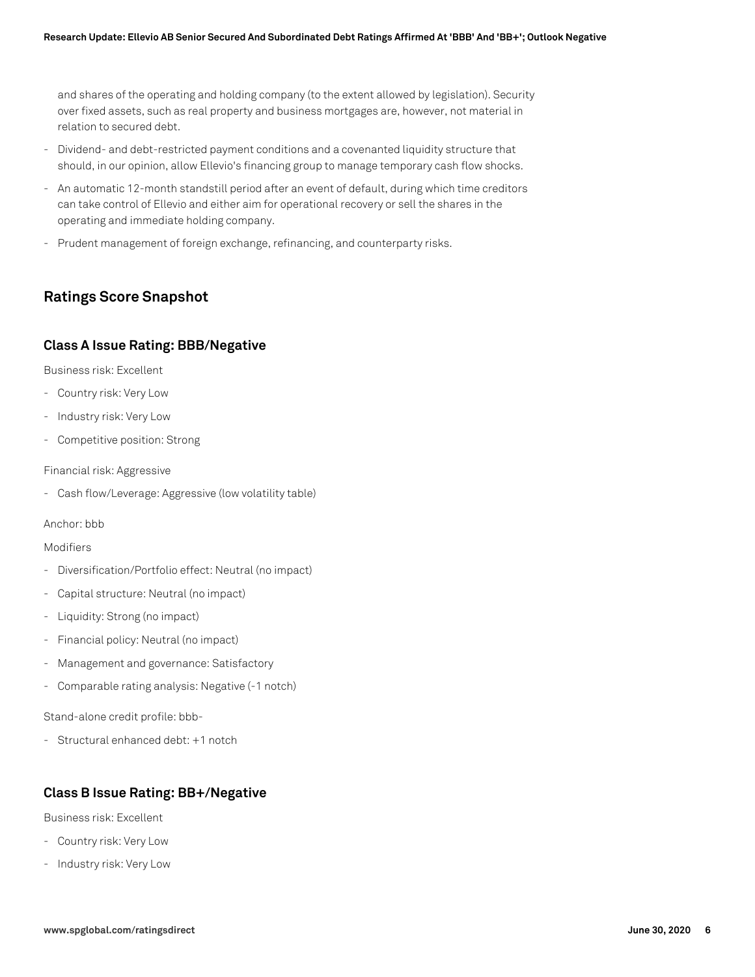and shares of the operating and holding company (to the extent allowed by legislation). Security over fixed assets, such as real property and business mortgages are, however, not material in relation to secured debt.

- Dividend- and debt-restricted payment conditions and a covenanted liquidity structure that should, in our opinion, allow Ellevio's financing group to manage temporary cash flow shocks.
- An automatic 12-month standstill period after an event of default, during which time creditors can take control of Ellevio and either aim for operational recovery or sell the shares in the operating and immediate holding company.
- Prudent management of foreign exchange, refinancing, and counterparty risks.

# **Ratings Score Snapshot**

## **Class A Issue Rating: BBB/Negative**

Business risk: Excellent

- Country risk: Very Low
- Industry risk: Very Low
- Competitive position: Strong

Financial risk: Aggressive

Cash flow/Leverage: Aggressive (low volatility table)

Anchor: bbb

Modifiers

- Diversification/Portfolio effect: Neutral (no impact)
- Capital structure: Neutral (no impact)
- Liquidity: Strong (no impact)
- Financial policy: Neutral (no impact)
- Management and governance: Satisfactory
- Comparable rating analysis: Negative (-1 notch)

Stand-alone credit profile: bbb-

- Structural enhanced debt: +1 notch

## **Class B Issue Rating: BB+/Negative**

Business risk: Excellent

- Country risk: Very Low
- Industry risk: Very Low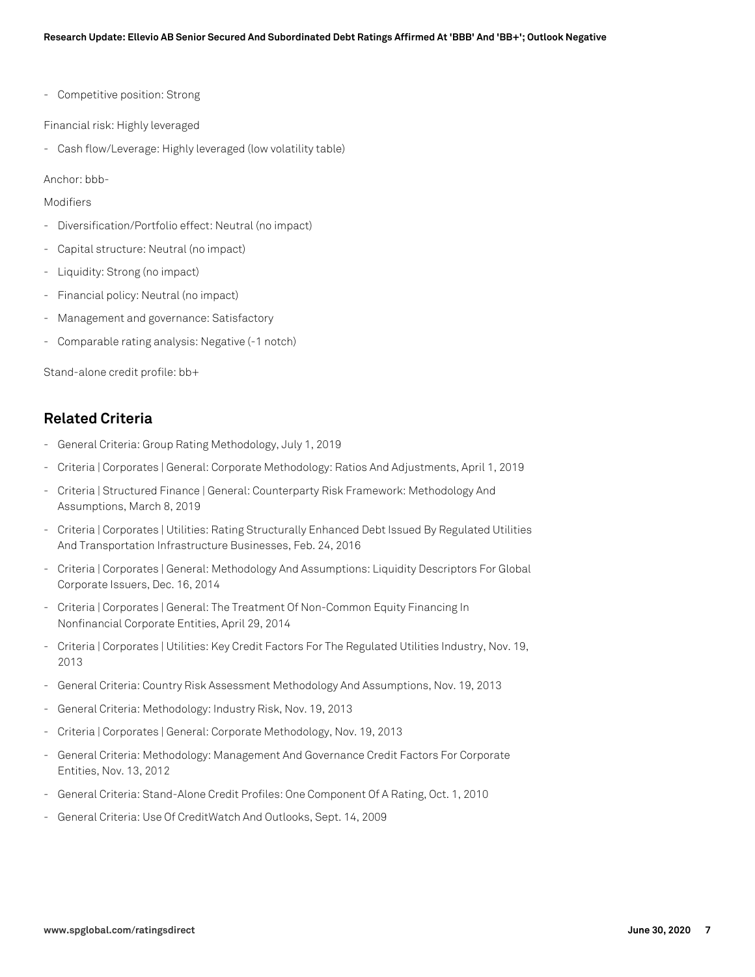- Competitive position: Strong

Financial risk: Highly leveraged

- Cash flow/Leverage: Highly leveraged (low volatility table)

Anchor: bbb-

Modifiers

- Diversification/Portfolio effect: Neutral (no impact)
- Capital structure: Neutral (no impact)
- Liquidity: Strong (no impact)
- Financial policy: Neutral (no impact)
- Management and governance: Satisfactory
- Comparable rating analysis: Negative (-1 notch)

Stand-alone credit profile: bb+

## **Related Criteria**

- General Criteria: Group Rating Methodology, July 1, 2019
- Criteria | Corporates | General: Corporate Methodology: Ratios And Adjustments, April 1, 2019
- Criteria | Structured Finance | General: Counterparty Risk Framework: Methodology And Assumptions, March 8, 2019
- Criteria | Corporates | Utilities: Rating Structurally Enhanced Debt Issued By Regulated Utilities And Transportation Infrastructure Businesses, Feb. 24, 2016
- Criteria | Corporates | General: Methodology And Assumptions: Liquidity Descriptors For Global Corporate Issuers, Dec. 16, 2014
- Criteria | Corporates | General: The Treatment Of Non-Common Equity Financing In Nonfinancial Corporate Entities, April 29, 2014
- Criteria | Corporates | Utilities: Key Credit Factors For The Regulated Utilities Industry, Nov. 19, 2013
- General Criteria: Country Risk Assessment Methodology And Assumptions, Nov. 19, 2013
- General Criteria: Methodology: Industry Risk, Nov. 19, 2013
- Criteria | Corporates | General: Corporate Methodology, Nov. 19, 2013
- General Criteria: Methodology: Management And Governance Credit Factors For Corporate Entities, Nov. 13, 2012
- General Criteria: Stand-Alone Credit Profiles: One Component Of A Rating, Oct. 1, 2010
- General Criteria: Use Of CreditWatch And Outlooks, Sept. 14, 2009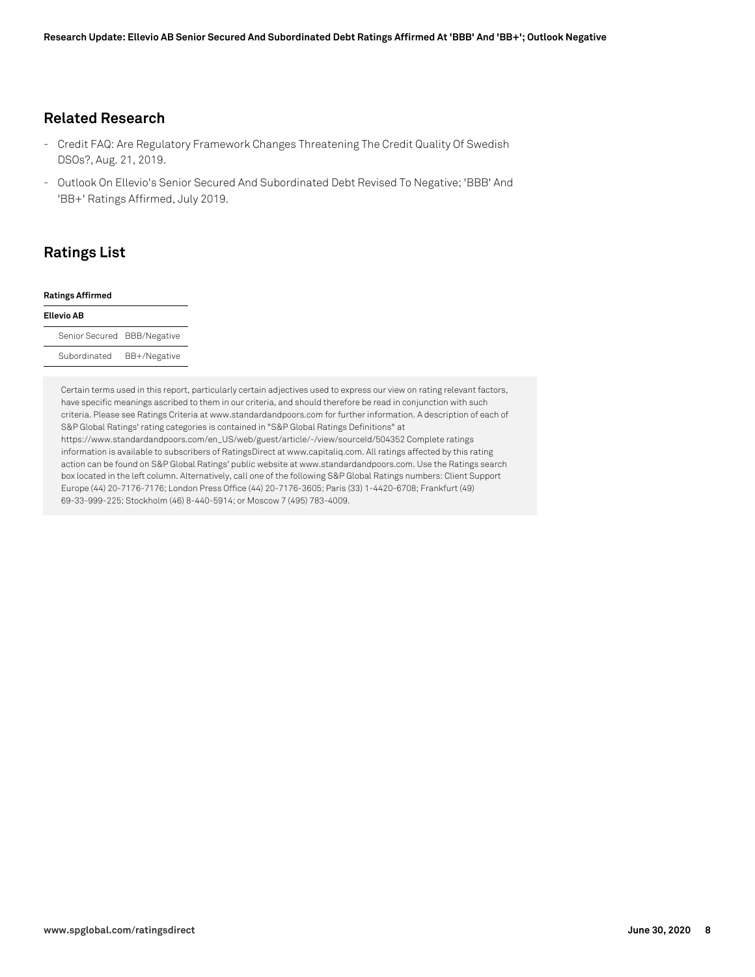## **Related Research**

- Credit FAQ: Are Regulatory Framework Changes Threatening The Credit Quality Of Swedish DSOs?, Aug. 21, 2019.
- Outlook On Ellevio's Senior Secured And Subordinated Debt Revised To Negative; 'BBB' And 'BB+' Ratings Affirmed, July 2019.

# **Ratings List**

#### **Ratings Affirmed**

| Ellevio AB                  |              |  |  |  |
|-----------------------------|--------------|--|--|--|
| Senior Secured BBB/Negative |              |  |  |  |
| Subordinated                | BB+/Negative |  |  |  |

Certain terms used in this report, particularly certain adjectives used to express our view on rating relevant factors, have specific meanings ascribed to them in our criteria, and should therefore be read in conjunction with such criteria. Please see Ratings Criteria at www.standardandpoors.com for further information. A description of each of S&P Global Ratings' rating categories is contained in "S&P Global Ratings Definitions" at https://www.standardandpoors.com/en\_US/web/guest/article/-/view/sourceId/504352 Complete ratings information is available to subscribers of RatingsDirect at www.capitaliq.com. All ratings affected by this rating action can be found on S&P Global Ratings' public website at www.standardandpoors.com. Use the Ratings search box located in the left column. Alternatively, call one of the following S&P Global Ratings numbers: Client Support Europe (44) 20-7176-7176; London Press Office (44) 20-7176-3605; Paris (33) 1-4420-6708; Frankfurt (49) 69-33-999-225; Stockholm (46) 8-440-5914; or Moscow 7 (495) 783-4009.